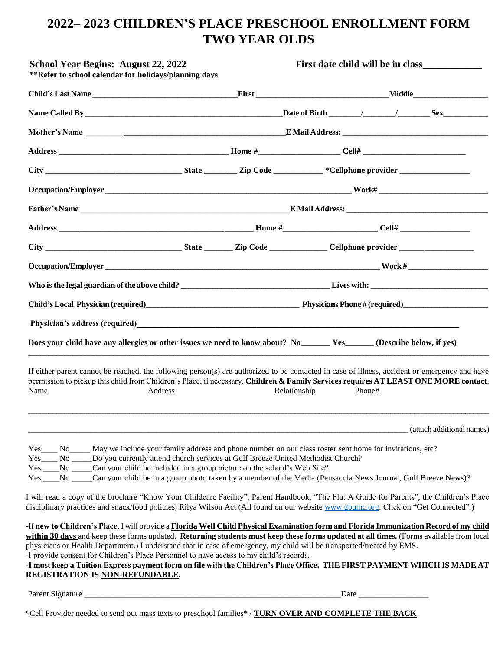# **2022– 2023 CHILDREN'S PLACE PRESCHOOL ENROLLMENT FORM TWO YEAR OLDS**

| <b>School Year Begins: August 22, 2022</b><br>**Refer to school calendar for holidays/planning days                                                                                                                                                                                                                                                                                                                                                                                                                                                                                                                                |              | First date child will be in class |
|------------------------------------------------------------------------------------------------------------------------------------------------------------------------------------------------------------------------------------------------------------------------------------------------------------------------------------------------------------------------------------------------------------------------------------------------------------------------------------------------------------------------------------------------------------------------------------------------------------------------------------|--------------|-----------------------------------|
|                                                                                                                                                                                                                                                                                                                                                                                                                                                                                                                                                                                                                                    |              | <b>Middle</b>                     |
|                                                                                                                                                                                                                                                                                                                                                                                                                                                                                                                                                                                                                                    |              |                                   |
|                                                                                                                                                                                                                                                                                                                                                                                                                                                                                                                                                                                                                                    |              |                                   |
|                                                                                                                                                                                                                                                                                                                                                                                                                                                                                                                                                                                                                                    |              |                                   |
|                                                                                                                                                                                                                                                                                                                                                                                                                                                                                                                                                                                                                                    |              |                                   |
|                                                                                                                                                                                                                                                                                                                                                                                                                                                                                                                                                                                                                                    |              |                                   |
|                                                                                                                                                                                                                                                                                                                                                                                                                                                                                                                                                                                                                                    |              |                                   |
|                                                                                                                                                                                                                                                                                                                                                                                                                                                                                                                                                                                                                                    |              |                                   |
|                                                                                                                                                                                                                                                                                                                                                                                                                                                                                                                                                                                                                                    |              |                                   |
|                                                                                                                                                                                                                                                                                                                                                                                                                                                                                                                                                                                                                                    |              |                                   |
|                                                                                                                                                                                                                                                                                                                                                                                                                                                                                                                                                                                                                                    |              |                                   |
| Child's Local Physician (required)<br>Thysicians Phone # (required)<br>Thysicians Phone # (required)                                                                                                                                                                                                                                                                                                                                                                                                                                                                                                                               |              |                                   |
| Physician's address (required)<br><u> Letting and the contract of the contract of the contract of the contract of the contract of the contract of the contract of the contract of the contract of the contract of the contract of </u>                                                                                                                                                                                                                                                                                                                                                                                             |              |                                   |
| Does your child have any allergies or other issues we need to know about? No Ves Yes (Describe below, if yes)                                                                                                                                                                                                                                                                                                                                                                                                                                                                                                                      |              |                                   |
| If either parent cannot be reached, the following person(s) are authorized to be contacted in case of illness, accident or emergency and have<br>permission to pickup this child from Children's Place, if necessary. Children & Family Services requires AT LEAST ONE MORE contact.                                                                                                                                                                                                                                                                                                                                               |              |                                   |
| Name<br>Address                                                                                                                                                                                                                                                                                                                                                                                                                                                                                                                                                                                                                    | Relationship | Phone#                            |
|                                                                                                                                                                                                                                                                                                                                                                                                                                                                                                                                                                                                                                    |              | (attach additional names)         |
| Yes No Do you currently attend church services at Gulf Breeze United Methodist Church?<br>Yes _____No ______Can your child be included in a group picture on the school's Web Site?<br>Yes ____No _____Can your child be in a group photo taken by a member of the Media (Pensacola News Journal, Gulf Breeze News)?<br>I will read a copy of the brochure "Know Your Childcare Facility", Parent Handbook, "The Flu: A Guide for Parents", the Children's Place                                                                                                                                                                   |              |                                   |
| disciplinary practices and snack/food policies, Rilya Wilson Act (All found on our website www.gbumc.org. Click on "Get Connected".)                                                                                                                                                                                                                                                                                                                                                                                                                                                                                               |              |                                   |
| -If new to Children's Place, I will provide a Florida Well Child Physical Examination form and Florida Immunization Record of my child<br>within 30 days and keep these forms updated. Returning students must keep these forms updated at all times. (Forms available from local<br>physicians or Health Department.) I understand that in case of emergency, my child will be transported/treated by EMS.<br>-I provide consent for Children's Place Personnel to have access to my child's records.<br>-I must keep a Tuition Express payment form on file with the Children's Place Office. THE FIRST PAYMENT WHICH IS MADE AT |              |                                   |
| REGISTRATION IS <u>NON-REFUNDABLE</u> .<br>Parent Signature                                                                                                                                                                                                                                                                                                                                                                                                                                                                                                                                                                        |              | Date                              |

\*Cell Provider needed to send out mass texts to preschool families\* / **TURN OVER AND COMPLETE THE BACK**